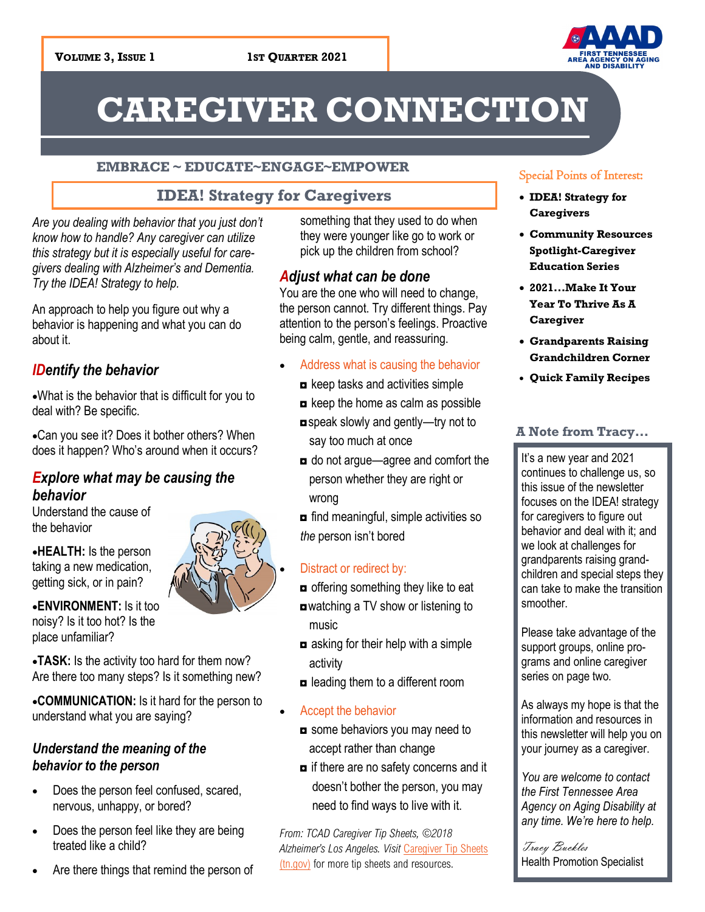

# **CAREGIVER CONNECTION**

### **EMBRACE ~ EDUCATE~ENGAGE~EMPOWER**

### **IDEA! Strategy for Caregivers**

*Are you dealing with behavior that you just don't know how to handle? Any caregiver can utilize this strategy but it is especially useful for caregivers dealing with Alzheimer's and Dementia. Try the IDEA! Strategy to help.*

An approach to help you figure out why a behavior is happening and what you can do about it.

### *IDentify the behavior*

•What is the behavior that is difficult for you to deal with? Be specific.

•Can you see it? Does it bother others? When does it happen? Who's around when it occurs?

## *Explore what may be causing the behavior*

Understand the cause of the behavior

•**HEALTH:** Is the person taking a new medication, getting sick, or in pain?

•**ENVIRONMENT:** Is it too noisy? Is it too hot? Is the place unfamiliar?



•**TASK:** Is the activity too hard for them now? Are there too many steps? Is it something new?

•**COMMUNICATION:** Is it hard for the person to understand what you are saying?

### *Understand the meaning of the behavior to the person*

- Does the person feel confused, scared, nervous, unhappy, or bored?
- Does the person feel like they are being treated like a child?
- Are there things that remind the person of

something that they used to do when they were younger like go to work or pick up the children from school?

### *Adjust what can be done*

You are the one who will need to change, the person cannot. Try different things. Pay attention to the person's feelings. Proactive being calm, gentle, and reassuring.

- Address what is causing the behavior
	- ◘ keep tasks and activities simple
	- ◘ keep the home as calm as possible
	- ◘speak slowly and gently—try not to say too much at once
	- ◘ do not argue—agree and comfort the person whether they are right or wrong

**□** find meaningful, simple activities so *the* person isn't bored

### Distract or redirect by:

- offering something they like to eat ◘watching a TV show or listening to music
- ◘ asking for their help with a simple activity
- ◘ leading them to a different room
- Accept the behavior
- some behaviors you may need to accept rather than change
- $\blacksquare$  if there are no safety concerns and it doesn't bother the person, you may need to find ways to live with it.

*From: TCAD Caregiver Tip Sheets, ©2018 Alzheimer's Los Angeles. Visit* [Caregiver Tip Sheets](https://www.tn.gov/aging/our-programs/alz.html)  [\(tn.gov\)](https://www.tn.gov/aging/our-programs/alz.html) for more tip sheets and resources.

### Special Points of Interest:

- **IDEA! Strategy for Caregivers**
- **Community Resources Spotlight-Caregiver Education Series**
- **2021...Make It Your Year To Thrive As A Caregiver**
- **Grandparents Raising Grandchildren Corner**
- **Quick Family Recipes**

### **A Note from Tracy...**

It's a new year and 2021 continues to challenge us, so this issue of the newsletter focuses on the IDEA! strategy for caregivers to figure out behavior and deal with it; and we look at challenges for grandparents raising grandchildren and special steps they can take to make the transition smoother.

Please take advantage of the support groups, online programs and online caregiver series on page two.

As always my hope is that the information and resources in this newsletter will help you on your journey as a caregiver.

*You are welcome to contact the First Tennessee Area Agency on Aging Disability at any time. We're here to help.*

Tracy Buckles Health Promotion Specialist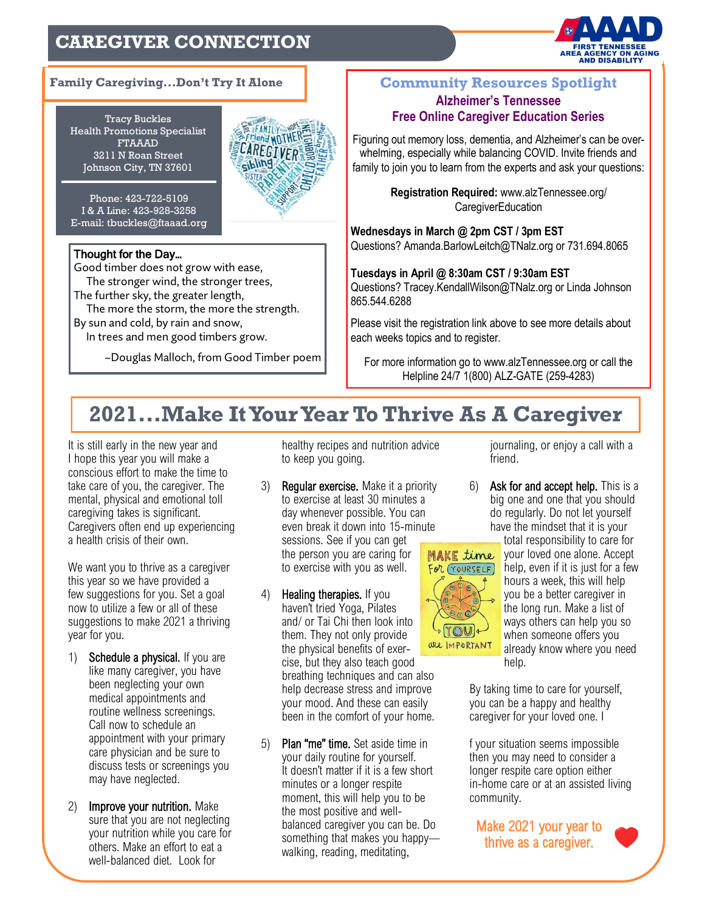# **CAREGIVER CONNECTION**



### **Family Caregiving...Don't Try It Alone Community Resources Spotlight**

Tracy Buckles Health Promotions Specialist FTAAAD 3211 N Roan Street Johnson City, TN 37601



Phone: 423-722-5109 I & A Line: 423-928-3258 E-mail: tbuckles@ftaaad.org

### Thought for the Day…

Good timber does not grow with ease, The stronger wind, the stronger trees, The further sky, the greater length, The more the storm, the more the strength. By sun and cold, by rain and snow, In trees and men good timbers grow.

~Douglas Malloch, from Good Timber poem

# **Alzheimer's Tennessee Free Online Caregiver Education Series**

Figuring out memory loss, dementia, and Alzheimer's can be overwhelming, especially while balancing COVID. Invite friends and family to join you to learn from the experts and ask your questions:

> **Registration Required:** www.alzTennessee.org/ **CaregiverEducation**

**Wednesdays in March @ 2pm CST / 3pm EST** Questions? Amanda.BarlowLeitch@TNalz.org or 731.694.8065

**Tuesdays in April @ 8:30am CST / 9:30am EST** Questions? Tracey.KendallWilson@TNalz.org or Linda Johnson 865.544.6288

Please visit the registration link above to see more details about each weeks topics and to register.

For more information go to www.alzTennessee.org or call the Helpline 24/7 1(800) ALZ-GATE (259-4283)

# **2021...Make It Your Year To Thrive As A Caregiver**

It is still early in the new year and I hope this year you will make a conscious effort to make the time to take care of you, the caregiver. The mental, physical and emotional toll caregiving takes is significant. Caregivers often end up experiencing a health crisis of their own.

We want you to thrive as a caregiver this year so we have provided a few suggestions for you. Set a goal now to utilize a few or all of these suggestions to make 2021 a thriving year for you.

- 1) Schedule a physical. If you are like many caregiver, you have been neglecting your own medical appointments and routine wellness screenings. Call now to schedule an appointment with your primary care physician and be sure to discuss tests or screenings you may have neglected.
- 2) Improve your nutrition. Make sure that you are not neglecting your nutrition while you care for others. Make an effort to eat a well-balanced diet. Look for

healthy recipes and nutrition advice to keep you going.

- 3) Regular exercise. Make it a priority to exercise at least 30 minutes a day whenever possible. You can even break it down into 15-minute sessions. See if you can get the person you are caring for to exercise with you as well.
- 4) Healing therapies. If you haven't tried Yoga, Pilates and/ or Tai Chi then look into them. They not only provide the physical benefits of exercise, but they also teach good breathing techniques and can also help decrease stress and improve your mood. And these can easily been in the comfort of your home.
- 5) Plan "me" time. Set aside time in your daily routine for yourself. It doesn't matter if it is a few short minutes or a longer respite moment, this will help you to be the most positive and wellbalanced caregiver you can be. Do something that makes you happy walking, reading, meditating,

journaling, or enjoy a call with a friend.

6) Ask for and accept help. This is a big one and one that you should do regularly. Do not let yourself have the mindset that it is your



total responsibility to care for your loved one alone. Accept help, even if it is just for a few hours a week, this will help you be a better caregiver in the long run. Make a list of ways others can help you so when someone offers you already know where you need help.

By taking time to care for yourself, you can be a happy and healthy caregiver for your loved one. I

f your situation seems impossible then you may need to consider a longer respite care option either in-home care or at an assisted living community.

Make 2021 your year to thrive as a caregiver.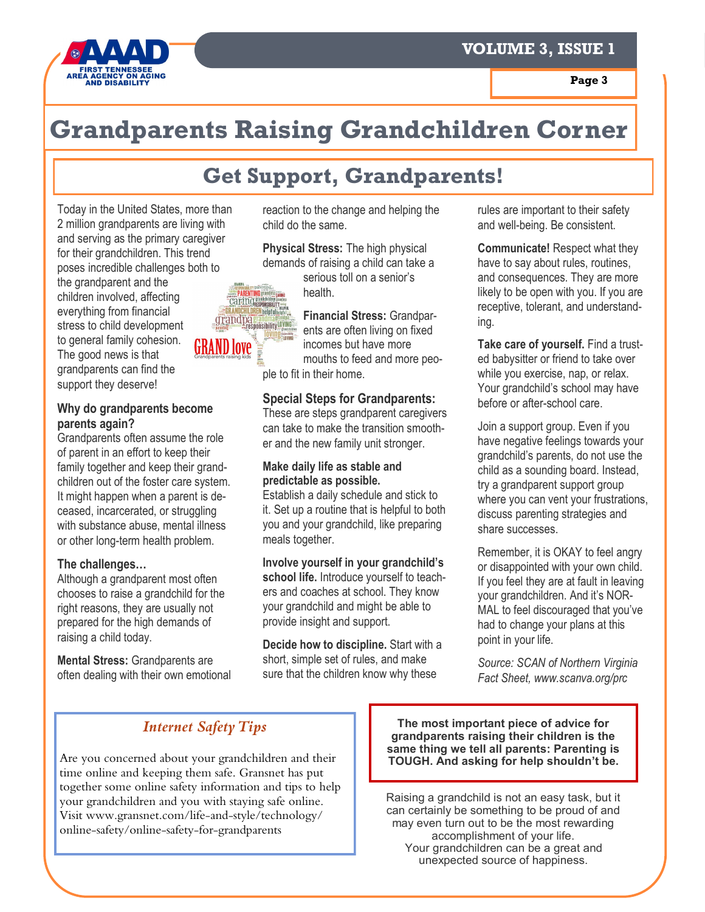

# **Grandparents Raising Grandchildren Corner**

# **Get Support, Grandparents!**

Today in the United States, more than 2 million grandparents are living with and serving as the primary caregiver for their grandchildren. This trend poses incredible challenges both to the grandparent and the children involved, affecting everything from financial stress to child development to general family cohesion. The good news is that grandparents can find the support they deserve!

### **Why do grandparents become parents again?**

Grandparents often assume the role of parent in an effort to keep their family together and keep their grandchildren out of the foster care system. It might happen when a parent is deceased, incarcerated, or struggling with substance abuse, mental illness or other long-term health problem.

### **The challenges…**

Although a grandparent most often chooses to raise a grandchild for the right reasons, they are usually not prepared for the high demands of raising a child today.

**Mental Stress:** Grandparents are often dealing with their own emotional reaction to the change and helping the child do the same.

**Physical Stress:** The high physical demands of raising a child can take a

serious toll on a senior's health.

**Financial Stress:** Grandparents are often living on fixed incomes but have more mouths to feed and more people to fit in their home.

### **Special Steps for Grandparents:**

These are steps grandparent caregivers can take to make the transition smoother and the new family unit stronger.

### **Make daily life as stable and predictable as possible.**

Establish a daily schedule and stick to it. Set up a routine that is helpful to both you and your grandchild, like preparing meals together.

**Involve yourself in your grandchild's school life.** Introduce yourself to teachers and coaches at school. They know your grandchild and might be able to provide insight and support.

**Decide how to discipline.** Start with a short, simple set of rules, and make sure that the children know why these

rules are important to their safety and well-being. Be consistent.

**Communicate!** Respect what they have to say about rules, routines, and consequences. They are more likely to be open with you. If you are receptive, tolerant, and understanding.

**Take care of yourself.** Find a trusted babysitter or friend to take over while you exercise, nap, or relax. Your grandchild's school may have before or after-school care.

Join a support group. Even if you have negative feelings towards your grandchild's parents, do not use the child as a sounding board. Instead, try a grandparent support group where you can vent your frustrations, discuss parenting strategies and share successes.

Remember, it is OKAY to feel angry or disappointed with your own child. If you feel they are at fault in leaving your grandchildren. And it's NOR-MAL to feel discouraged that you've had to change your plans at this point in your life.

*Source: SCAN of Northern Virginia Fact Sheet, www.scanva.org/prc*

# *Internet Safety Tips*

Are you concerned about your grandchildren and their time online and keeping them safe. Gransnet has put together some online safety information and tips to help your grandchildren and you with staying safe online. Visit www.gransnet.com/life-and-style/technology/ online-safety/online-safety-for-grandparents

**The most important piece of advice for grandparents raising their children is the same thing we tell all parents: Parenting is TOUGH. And asking for help shouldn't be.**

Raising a grandchild is not an easy task, but it can certainly be something to be proud of and may even turn out to be the most rewarding accomplishment of your life. Your grandchildren can be a great and unexpected source of happiness.